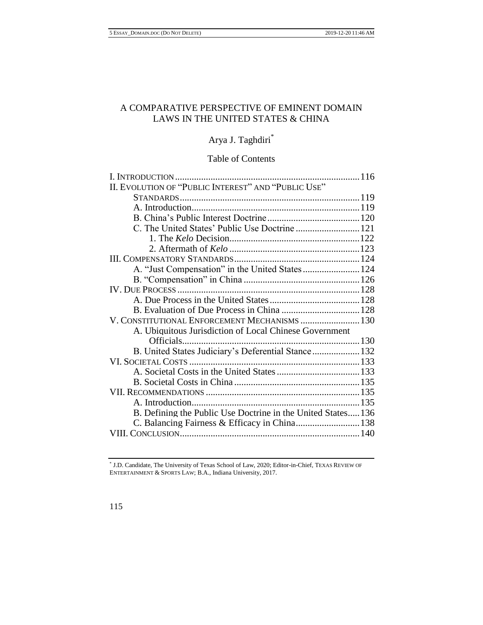# A COMPARATIVE PERSPECTIVE OF EMINENT DOMAIN LAWS IN THE UNITED STATES & CHINA

# Arya J. Taghdiri \*

# Table of Contents

| II. EVOLUTION OF "PUBLIC INTEREST" AND "PUBLIC USE"         |  |
|-------------------------------------------------------------|--|
|                                                             |  |
|                                                             |  |
|                                                             |  |
|                                                             |  |
|                                                             |  |
|                                                             |  |
|                                                             |  |
| A. "Just Compensation" in the United States  124            |  |
|                                                             |  |
|                                                             |  |
|                                                             |  |
|                                                             |  |
| V. CONSTITUTIONAL ENFORCEMENT MECHANISMS  130               |  |
| A. Ubiquitous Jurisdiction of Local Chinese Government      |  |
| Officials                                                   |  |
| B. United States Judiciary's Deferential Stance 132         |  |
|                                                             |  |
|                                                             |  |
|                                                             |  |
|                                                             |  |
|                                                             |  |
| B. Defining the Public Use Doctrine in the United States136 |  |
|                                                             |  |
|                                                             |  |
|                                                             |  |

\* J.D. Candidate, The University of Texas School of Law, 2020; Editor-in-Chief, TEXAS REVIEW OF ENTERTAINMENT & SPORTS LAW; B.A., Indiana University, 2017.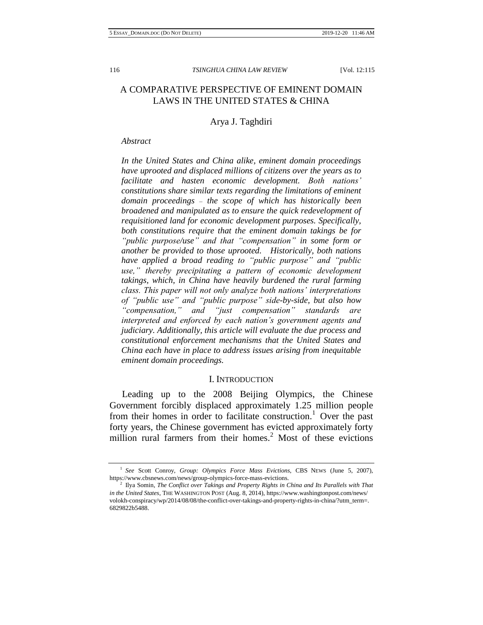# A COMPARATIVE PERSPECTIVE OF EMINENT DOMAIN LAWS IN THE UNITED STATES & CHINA

## Arya J. Taghdiri

#### *Abstract*

*In the United States and China alike, eminent domain proceedings have uprooted and displaced millions of citizens over the years as to facilitate and hasten economic development. Both nations' constitutions share similar texts regarding the limitations of eminent domain proceedings – the scope of which has historically been broadened and manipulated as to ensure the quick redevelopment of requisitioned land for economic development purposes. Specifically, both constitutions require that the eminent domain takings be for "public purpose/use" and that "compensation" in some form or another be provided to those uprooted. Historically, both nations have applied a broad reading to "public purpose" and "public use," thereby precipitating a pattern of economic development takings, which, in China have heavily burdened the rural farming class. This paper will not only analyze both nations' interpretations of "public use" and "public purpose" side-by-side, but also how "compensation," and "just compensation" standards are interpreted and enforced by each nation's government agents and judiciary. Additionally, this article will evaluate the due process and constitutional enforcement mechanisms that the United States and China each have in place to address issues arising from inequitable eminent domain proceedings.* 

## I. INTRODUCTION

Leading up to the 2008 Beijing Olympics, the Chinese Government forcibly displaced approximately 1.25 million people from their homes in order to facilitate construction.<sup>1</sup> Over the past forty years, the Chinese government has evicted approximately forty million rural farmers from their homes.<sup>2</sup> Most of these evictions

<sup>&</sup>lt;sup>1</sup> See Scott Conroy, Group: Olympics Force Mass Evictions, CBS NEWS (June 5, 2007), https://www.cbsnews.com/news/group-olympics-force-mass-evictions.

<sup>&</sup>lt;sup>2</sup> Ilya Somin, *The Conflict over Takings and Property Rights in China and Its Parallels with That in the United States*, THE WASHINGTON POST (Aug. 8, 2014), https://www.washingtonpost.com/news/ volokh-conspiracy/wp/2014/08/08/the-conflict-over-takings-and-property-rights-in-china/?utm\_term=. 6829822b5488.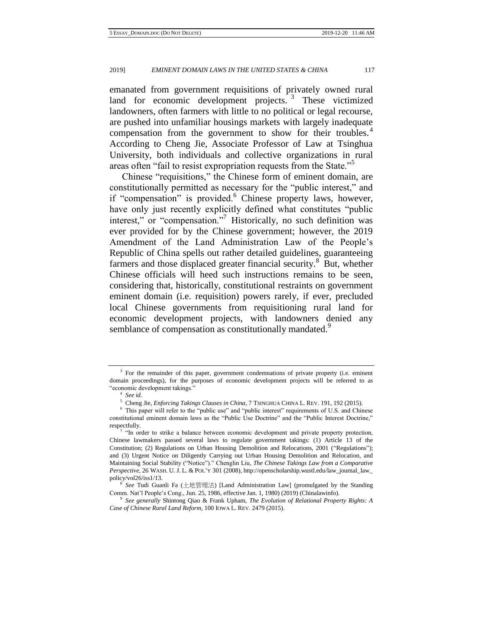emanated from government requisitions of privately owned rural land for economic development projects.  $3$  These victimized landowners, often farmers with little to no political or legal recourse, are pushed into unfamiliar housings markets with largely inadequate compensation from the government to show for their troubles.<sup>4</sup> According to Cheng Jie, Associate Professor of Law at Tsinghua University, both individuals and collective organizations in rural areas often "fail to resist expropriation requests from the State."<sup>5</sup>

Chinese "requisitions," the Chinese form of eminent domain, are constitutionally permitted as necessary for the "public interest," and if "compensation" is provided. $6$  Chinese property laws, however, have only just recently explicitly defined what constitutes "public interest," or "compensation."<sup>7</sup> Historically, no such definition was ever provided for by the Chinese government; however, the 2019 Amendment of the Land Administration Law of the People's Republic of China spells out rather detailed guidelines, guaranteeing farmers and those displaced greater financial security. $8$  But, whether Chinese officials will heed such instructions remains to be seen, considering that, historically, constitutional restraints on government eminent domain (i.e. requisition) powers rarely, if ever, precluded local Chinese governments from requisitioning rural land for economic development projects, with landowners denied any semblance of compensation as constitutionally mandated.<sup>9</sup>

9 *See generally* Shintong Qiao & Frank Upham, *The Evolution of Relational Property Rights: A Case of Chinese Rural Land Reform*, 100 IOWA L. REV. 2479 (2015).

 $3$  For the remainder of this paper, government condemnations of private property (i.e. eminent domain proceedings), for the purposes of economic development projects will be referred to as "economic development takings."

<sup>4</sup> *See id*.

<sup>5</sup> Cheng Jie, *Enforcing Takings Clauses in China*, 7 TSINGHUA CHINA L. REV. 191, 192 (2015).

<sup>6</sup> This paper will refer to the "public use" and "public interest" requirements of U.S. and Chinese constitutional eminent domain laws as the "Public Use Doctrine" and the "Public Interest Doctrine," respectfully.

<sup>7</sup> "In order to strike a balance between economic development and private property protection, Chinese lawmakers passed several laws to regulate government takings: (1) Article 13 of the Constitution; (2) Regulations on Urban Housing Demolition and Relocations, 2001 ("Regulations"); and (3) Urgent Notice on Diligently Carrying out Urban Housing Demolition and Relocation, and Maintaining Social Stability ("Notice")." Chenglin Liu, *The Chinese Takings Law from a Comparative Perspective*, 26 WASH. U. J. L. & POL'Y 301 (2008), http://openscholarship.wustl.edu/law\_journal\_law\_ policy/vol26/iss1/13.

<sup>8</sup> *See* Tudi Guanli Fa (土地管理法) [Land Administration Law] (promulgated by the Standing Comm. Nat'l People's Cong., Jun. 25, 1986, effective Jan. 1, 1980) (2019) (Chinalawinfo).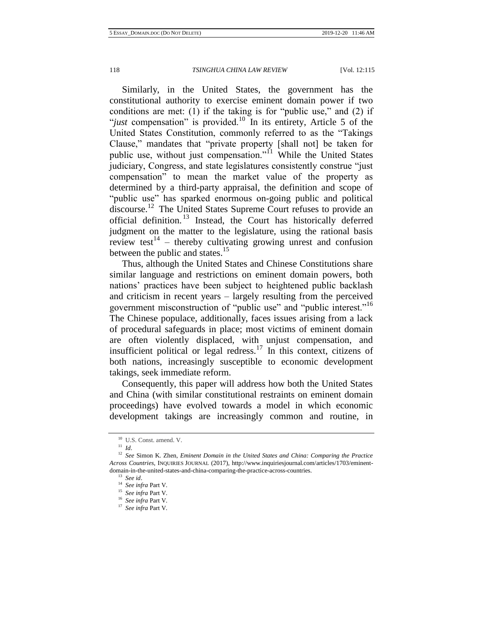Similarly, in the United States, the government has the constitutional authority to exercise eminent domain power if two conditions are met: (1) if the taking is for "public use," and (2) if "*just* compensation" is provided.<sup>10</sup> In its entirety, Article 5 of the United States Constitution, commonly referred to as the "Takings Clause," mandates that "private property [shall not] be taken for public use, without just compensation."<sup>11</sup> While the United States judiciary, Congress, and state legislatures consistently construe "just compensation" to mean the market value of the property as determined by a third-party appraisal, the definition and scope of "public use" has sparked enormous on-going public and political discourse.<sup>12</sup> The United States Supreme Court refuses to provide an official definition. <sup>13</sup> Instead, the Court has historically deferred judgment on the matter to the legislature, using the rational basis review test<sup>14</sup> – thereby cultivating growing unrest and confusion between the public and states.<sup>15</sup>

Thus, although the United States and Chinese Constitutions share similar language and restrictions on eminent domain powers, both nations' practices have been subject to heightened public backlash and criticism in recent years – largely resulting from the perceived government misconstruction of "public use" and "public interest."<sup>16</sup> The Chinese populace, additionally, faces issues arising from a lack of procedural safeguards in place; most victims of eminent domain are often violently displaced, with unjust compensation, and insufficient political or legal redress.<sup>17</sup> In this context, citizens of both nations, increasingly susceptible to economic development takings, seek immediate reform.

Consequently, this paper will address how both the United States and China (with similar constitutional restraints on eminent domain proceedings) have evolved towards a model in which economic development takings are increasingly common and routine, in

<sup>10</sup> U.S. Const. amend. V.

<sup>11</sup> *Id*.

<sup>12</sup> *See* Simon K. Zhen, *Eminent Domain in the United States and China: Comparing the Practice Across Countries*, INQUIRIES JOURNAL (2017), http://www.inquiriesjournal.com/articles/1703/eminentdomain-in-the-united-states-and-china-comparing-the-practice-across-countries. <sup>13</sup> *See id*.

<sup>14</sup> *See infra* Part V. <sup>15</sup> *See infra* Part V.

<sup>16</sup> *See infra* Part V.

<sup>17</sup> *See infra* Part V.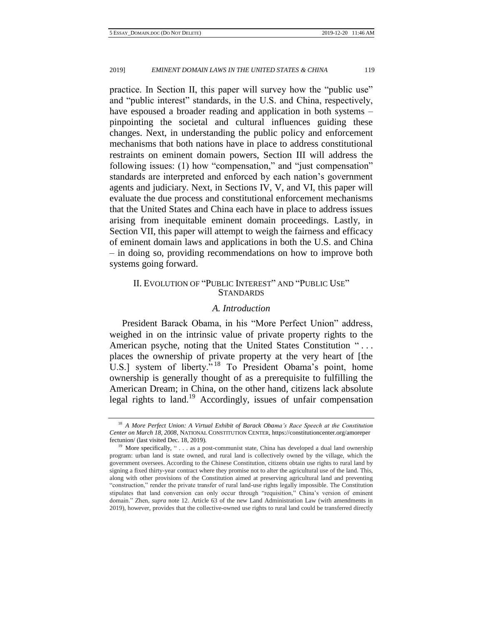practice. In Section II, this paper will survey how the "public use" and "public interest" standards, in the U.S. and China, respectively, have espoused a broader reading and application in both systems – pinpointing the societal and cultural influences guiding these changes. Next, in understanding the public policy and enforcement mechanisms that both nations have in place to address constitutional restraints on eminent domain powers, Section III will address the following issues: (1) how "compensation," and "just compensation" standards are interpreted and enforced by each nation's government agents and judiciary. Next, in Sections IV, V, and VI, this paper will evaluate the due process and constitutional enforcement mechanisms that the United States and China each have in place to address issues arising from inequitable eminent domain proceedings. Lastly, in Section VII, this paper will attempt to weigh the fairness and efficacy of eminent domain laws and applications in both the U.S. and China – in doing so, providing recommendations on how to improve both systems going forward.

# II. EVOLUTION OF "PUBLIC INTEREST" AND "PUBLIC USE" **STANDARDS**

# *A. Introduction*

President Barack Obama, in his "More Perfect Union" address, weighed in on the intrinsic value of private property rights to the American psyche, noting that the United States Constitution "... places the ownership of private property at the very heart of [the U.S.] system of liberty."<sup>18</sup> To President Obama's point, home ownership is generally thought of as a prerequisite to fulfilling the American Dream; in China, on the other hand, citizens lack absolute legal rights to land.<sup>19</sup> Accordingly, issues of unfair compensation

<sup>&</sup>lt;sup>18</sup> A More Perfect Union: A Virtual Exhibit of Barack Obama's Race Speech at the Constitution *Center on March 18, 2008*, NATIONAL CONSTITUTION CENTER, https://constitutioncenter.org/amoreper fectunion/ (last visited Dec. 18, 2019).

<sup>&</sup>lt;sup>19</sup> More specifically, " $\dots$  as a post-communist state, China has developed a dual land ownership program: urban land is state owned, and rural land is collectively owned by the village, which the government oversees. According to the Chinese Constitution, citizens obtain use rights to rural land by signing a fixed thirty-year contract where they promise not to alter the agricultural use of the land. This, along with other provisions of the Constitution aimed at preserving agricultural land and preventing "construction," render the private transfer of rural land-use rights legally impossible. The Constitution stipulates that land conversion can only occur through "requisition," China's version of eminent domain." Zhen, *supra* note 12. Article 63 of the new Land Administration Law (with amendments in 2019), however, provides that the collective-owned use rights to rural land could be transferred directly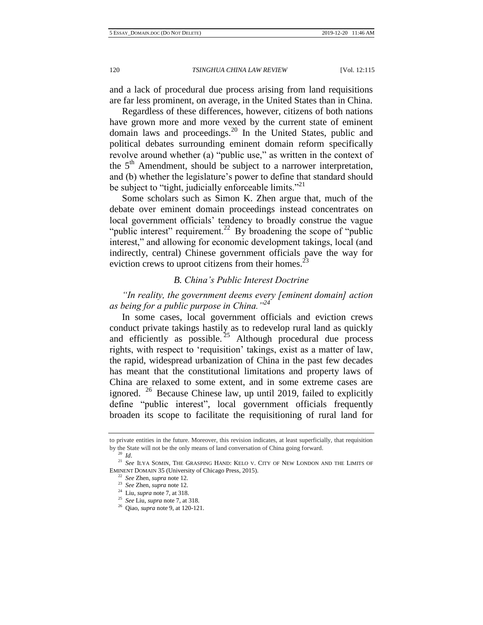and a lack of procedural due process arising from land requisitions are far less prominent, on average, in the United States than in China.

Regardless of these differences, however, citizens of both nations have grown more and more vexed by the current state of eminent domain laws and proceedings.<sup>20</sup> In the United States, public and political debates surrounding eminent domain reform specifically revolve around whether (a) "public use," as written in the context of the  $5<sup>th</sup>$  Amendment, should be subject to a narrower interpretation, and (b) whether the legislature's power to define that standard should be subject to "tight, judicially enforceable limits."<sup>21</sup>

Some scholars such as Simon K. Zhen argue that, much of the debate over eminent domain proceedings instead concentrates on local government officials' tendency to broadly construe the vague "public interest" requirement.<sup>22</sup> By broadening the scope of "public" interest," and allowing for economic development takings, local (and indirectly, central) Chinese government officials pave the way for eviction crews to uproot citizens from their homes.<sup>23</sup>

## *B. China's Public Interest Doctrine*

*"In reality, the government deems every [eminent domain] action as being for a public purpose in China."<sup>24</sup>*

In some cases, local government officials and eviction crews conduct private takings hastily as to redevelop rural land as quickly and efficiently as possible.  $25$  Although procedural due process rights, with respect to 'requisition' takings, exist as a matter of law, the rapid, widespread urbanization of China in the past few decades has meant that the constitutional limitations and property laws of China are relaxed to some extent, and in some extreme cases are ignored.  $26$  Because Chinese law, up until 2019, failed to explicitly define "public interest", local government officials frequently broaden its scope to facilitate the requisitioning of rural land for

to private entities in the future. Moreover, this revision indicates, at least superficially, that requisition by the State will not be the only means of land conversation of China going forward.

<sup>20</sup> *Id*.

<sup>21</sup> *See* ILYA SOMIN, THE GRASPING HAND: KELO V. CITY OF NEW LONDON AND THE LIMITS OF EMINENT DOMAIN 35 (University of Chicago Press, 2015).

<sup>22</sup> *See* Zhen, *supra* note 12.

<sup>23</sup> *See* Zhen, *supra* note 12.

<sup>24</sup> Liu, *supra* note 7, at 318.

<sup>25</sup> *See* Liu, *supra* note 7, at 318.

<sup>26</sup> Qiao, *supra* note 9, at 120-121.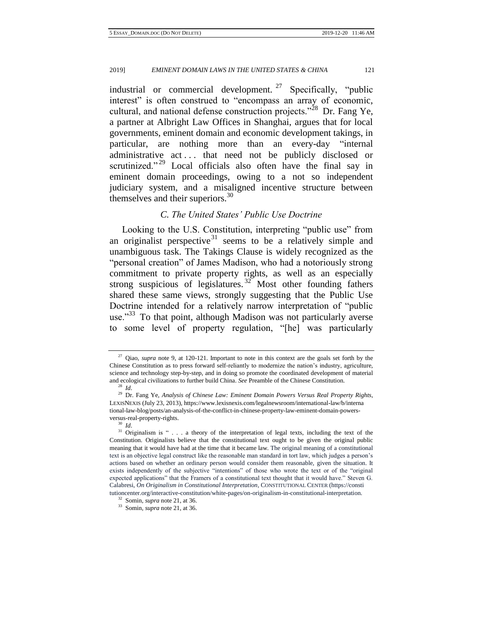industrial or commercial development. <sup>27</sup> Specifically, "public interest" is often construed to "encompass an array of economic, cultural, and national defense construction projects."<sup>28</sup> Dr. Fang Ye, a partner at Albright Law Offices in Shanghai, argues that for local governments, eminent domain and economic development takings, in particular, are nothing more than an every-day "internal administrative act . . . that need not be publicly disclosed or scrutinized."<sup>29</sup> Local officials also often have the final say in eminent domain proceedings, owing to a not so independent judiciary system, and a misaligned incentive structure between themselves and their superiors. $30$ 

# *C. The United States' Public Use Doctrine*

Looking to the U.S. Constitution, interpreting "public use" from an originalist perspective<sup>31</sup> seems to be a relatively simple and unambiguous task. The Takings Clause is widely recognized as the "personal creation" of James Madison, who had a notoriously strong commitment to private property rights, as well as an especially strong suspicious of legislatures.<sup>32</sup> Most other founding fathers shared these same views, strongly suggesting that the Public Use Doctrine intended for a relatively narrow interpretation of "public use."<sup>33</sup> To that point, although Madison was not particularly averse to some level of property regulation, "[he] was particularly

<sup>&</sup>lt;sup>27</sup> Qiao, *supra* note 9, at 120-121. Important to note in this context are the goals set forth by the Chinese Constitution as to press forward self-reliantly to modernize the nation's industry, agriculture, science and technology step-by-step, and in doing so promote the coordinated development of material and ecological civilizations to further build China. *See* Preamble of the Chinese Constitution.

<sup>28</sup> *Id*.

<sup>&</sup>lt;sup>29</sup> Dr. Fang Ye, *Analysis of Chinese Law: Eminent Domain Powers Versus Real Property Rights*, LEXISNEXIS (July 23, 2013), https://www.lexisnexis.com/legalnewsroom/international-law/b/interna tional-law-blog/posts/an-analysis-of-the-conflict-in-chinese-property-law-eminent-domain-powersversus-real-property-rights.

<sup>30</sup> *Id*.

 $31$  Originalism is " . . . a theory of the interpretation of legal texts, including the text of the Constitution. Originalists believe that the constitutional text ought to be given the original public meaning that it would have had at the time that it became law. The original meaning of a constitutional text is an objective legal construct like the reasonable man standard in tort law, which judges a person's actions based on whether an ordinary person would consider them reasonable, given the situation. It exists independently of the subjective "intentions" of those who wrote the text or of the "original expected applications" that the Framers of a constitutional text thought that it would have." Steven G. Calabresi, *On Originalism in Constitutional Interpretation*, CONSTITUTIONAL CENTER (https://consti tutioncenter.org/interactive-constitution/white-pages/on-originalism-in-constitutional-interpretation.

<sup>32</sup> Somin, *supra* note 21, at 36.

<sup>33</sup> Somin, *supra* note 21, at 36.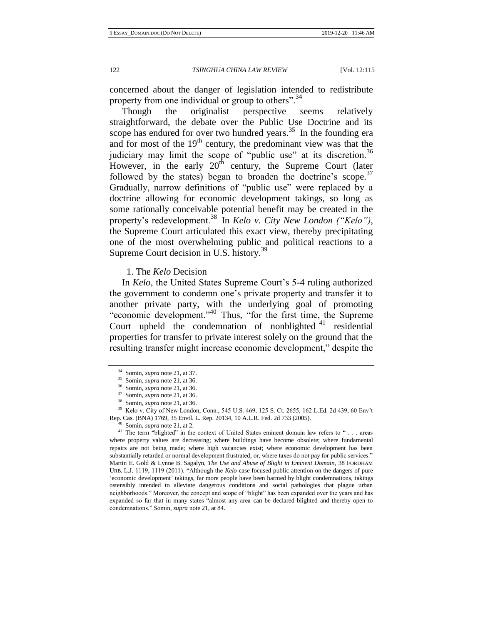concerned about the danger of legislation intended to redistribute property from one individual or group to others".<sup>34</sup>

Though the originalist perspective seems relatively straightforward, the debate over the Public Use Doctrine and its scope has endured for over two hundred years. $35$  In the founding era and for most of the  $19<sup>th</sup>$  century, the predominant view was that the judiciary may limit the scope of "public use" at its discretion.<sup>36</sup> However, in the early  $20<sup>th</sup>$  century, the Supreme Court (later followed by the states) began to broaden the doctrine's scope.<sup>37</sup> Gradually, narrow definitions of "public use" were replaced by a doctrine allowing for economic development takings, so long as some rationally conceivable potential benefit may be created in the property's redevelopment.<sup>38</sup> In *Kelo v. City New London ("Kelo")*, the Supreme Court articulated this exact view, thereby precipitating one of the most overwhelming public and political reactions to a Supreme Court decision in U.S. history.<sup>39</sup>

1. The *Kelo* Decision

In *Kelo*, the United States Supreme Court's 5-4 ruling authorized the government to condemn one's private property and transfer it to another private party, with the underlying goal of promoting "economic development."<sup>40</sup> Thus, "for the first time, the Supreme Court upheld the condemnation of nonblighted  $41$  residential properties for transfer to private interest solely on the ground that the resulting transfer might increase economic development," despite the

<sup>34</sup> Somin, *supra* note 21, at 37.

<sup>35</sup> Somin, *supra* note 21, at 36.

<sup>36</sup> Somin, *supra* note 21, at 36.

<sup>37</sup> Somin, *supra* note 21, at 36.

<sup>38</sup> Somin, *supra* note 21, at 36.

<sup>39</sup> Kelo v. City of New London, Conn., 545 U.S. 469, 125 S. Ct. 2655, 162 L.Ed. 2d 439, 60 Env't Rep. Cas. (BNA) 1769, 35 Envtl. L. Rep. 20134, 10 A.L.R. Fed. 2d 733 (2005).

Somin, *supra* note 21, at 2.

<sup>&</sup>lt;sup>41</sup> The term "blighted" in the context of United States eminent domain law refers to " . . . areas where property values are decreasing; where buildings have become obsolete; where fundamental repairs are not being made; where high vacancies exist; where economic development has been substantially retarded or normal development frustrated; or, where taxes do not pay for public services." Martin E. Gold & Lynne B. Sagalyn, *The Use and Abuse of Blight in Eminent Domain*, 38 FORDHAM URB. L.J. 1119, 1119 (2011). "Although the *Kelo* case focused public attention on the dangers of pure 'economic development' takings, far more people have been harmed by blight condemnations, takings ostensibly intended to alleviate dangerous conditions and social pathologies that plague urban neighborhoods." Moreover, the concept and scope of "blight" has been expanded over the years and has expanded so far that in many states "almost any area can be declared blighted and thereby open to condemnations." Somin, *supra* note 21, at 84.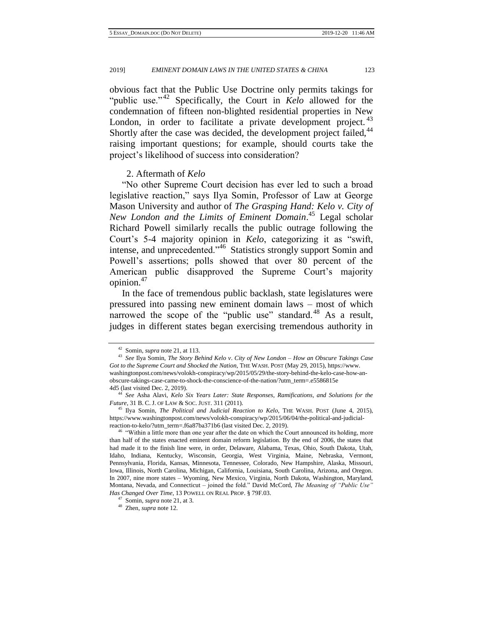obvious fact that the Public Use Doctrine only permits takings for "public use."<sup>42</sup> Specifically, the Court in *Kelo* allowed for the condemnation of fifteen non-blighted residential properties in New London, in order to facilitate a private development project.<sup>43</sup> Shortly after the case was decided, the development project failed, <sup>44</sup> raising important questions; for example, should courts take the project's likelihood of success into consideration?

## 2. Aftermath of *Kelo*

"No other Supreme Court decision has ever led to such a broad legislative reaction," says Ilya Somin, Professor of Law at George Mason University and author of *The Grasping Hand: Kelo v. City of New London and the Limits of Eminent Domain*. <sup>45</sup> Legal scholar Richard Powell similarly recalls the public outrage following the Court's 5-4 majority opinion in *Kelo*, categorizing it as "swift, intense, and unprecedented."<sup>46</sup> Statistics strongly support Somin and Powell's assertions; polls showed that over 80 percent of the American public disapproved the Supreme Court's majority opinion.<sup>47</sup>

In the face of tremendous public backlash, state legislatures were pressured into passing new eminent domain laws – most of which narrowed the scope of the "public use" standard.<sup>48</sup> As a result, judges in different states began exercising tremendous authority in

<sup>42</sup> Somin, *supra* note 21, at 113.

<sup>43</sup> *See* Ilya Somin, *The Story Behind Kelo v*. *City of New London – How an Obscure Takings Case Got to the Supreme Court and Shocked the Nation*, THE WASH. POST (May 29, 2015), https://www. washingtonpost.com/news/volokh-conspiracy/wp/2015/05/29/the-story-behind-the-kelo-case-how-anobscure-takings-case-came-to-shock-the-conscience-of-the-nation/?utm\_term=.e5586815e 4d5 (last visited Dec. 2, 2019).

<sup>44</sup> *See* Asha Alavi, *Kelo Six Years Later: State Responses, Ramifications, and Solutions for the Future*, 31 B. C. J. OF LAW & SOC. JUST. 311 (2011).

<sup>45</sup> Ilya Somin, *The Political and Judicial Reaction to Kelo*, THE WASH. POST (June 4, 2015), https://www.washingtonpost.com/news/volokh-conspiracy/wp/2015/06/04/the-political-and-judicialreaction-to-kelo/?utm\_term=.f6a87ba371b6 (last visited Dec. 2, 2019).

<sup>&</sup>lt;sup>46</sup> "Within a little more than one year after the date on which the Court announced its holding, more than half of the states enacted eminent domain reform legislation. By the end of 2006, the states that had made it to the finish line were, in order, Delaware, Alabama, Texas, Ohio, South Dakota, Utah, Idaho, Indiana, Kentucky, Wisconsin, Georgia, West Virginia, Maine, Nebraska, Vermont, Pennsylvania, Florida, Kansas, Minnesota, Tennessee, Colorado, New Hampshire, Alaska, Missouri, Iowa, Illinois, North Carolina, Michigan, California, Louisiana, South Carolina, Arizona, and Oregon. In 2007, nine more states – Wyoming, New Mexico, Virginia, North Dakota, Washington, Maryland, Montana, Nevada, and Connecticut – joined the fold." David McCord, *The Meaning of "Public Use" Has Changed Over Time*, 13 POWELL ON REAL PROP. § 79F.03.

<sup>47</sup> Somin, *supra* note 21, at 3.

<sup>48</sup> Zhen, *supra* note 12.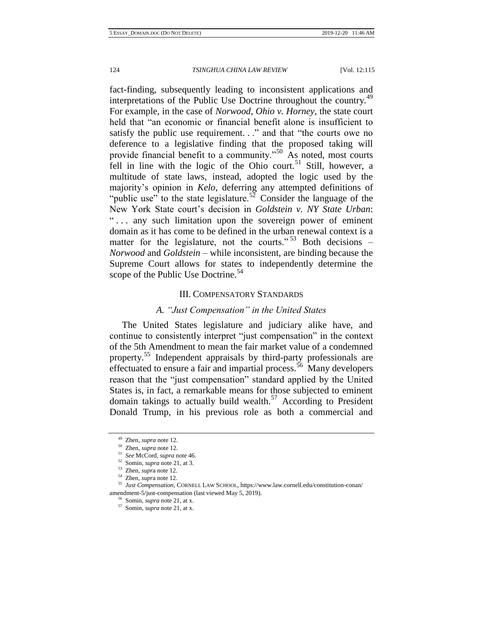fact-finding, subsequently leading to inconsistent applications and interpretations of the Public Use Doctrine throughout the country.<sup>49</sup> For example, in the case of *Norwood, Ohio v. Horney*, the state court held that "an economic or financial benefit alone is insufficient to satisfy the public use requirement. . ." and that "the courts owe no deference to a legislative finding that the proposed taking will provide financial benefit to a community."<sup>50</sup> As noted, most courts fell in line with the logic of the Ohio court.<sup>51</sup> Still, however, a multitude of state laws, instead, adopted the logic used by the majority's opinion in *Kelo*, deferring any attempted definitions of "public use" to the state legislature.<sup>52</sup> Consider the language of the New York State court's decision in *Goldstein v. NY State Urban*: "... any such limitation upon the sovereign power of eminent domain as it has come to be defined in the urban renewal context is a matter for the legislature, not the courts."  $53$  Both decisions – *Norwood* and *Goldstein* – while inconsistent, are binding because the Supreme Court allows for states to independently determine the scope of the Public Use Doctrine.<sup>54</sup>

### III. COMPENSATORY STANDARDS

## *A. "Just Compensation" in the United States*

The United States legislature and judiciary alike have, and continue to consistently interpret "just compensation" in the context of the 5th Amendment to mean the fair market value of a condemned property.<sup>55</sup> Independent appraisals by third-party professionals are effectuated to ensure a fair and impartial process.<sup>56</sup> Many developers reason that the "just compensation" standard applied by the United States is, in fact, a remarkable means for those subjected to eminent domain takings to actually build wealth.<sup>57</sup> According to President Donald Trump, in his previous role as both a commercial and

<sup>49</sup> Zhen, *supra* note 12.

<sup>50</sup> Zhen, *supra* note 12.

<sup>51</sup> *See* McCord, *supra* note 46.

<sup>52</sup> Somin, *supra* note 21, at 3.

<sup>53</sup> Zhen, *supr*a note 12.

<sup>54</sup> Zhen, *supr*a note 12.

<sup>55</sup> *Just Compensation*, CORNELL LAW SCHOOL, https://www.law.cornell.edu/constitution-conan/ amendment-5/just-compensation (last viewed May 5, 2019).

<sup>56</sup> Somin, *supra* note 21, at x.

<sup>57</sup> Somin, *supra* note 21, at x.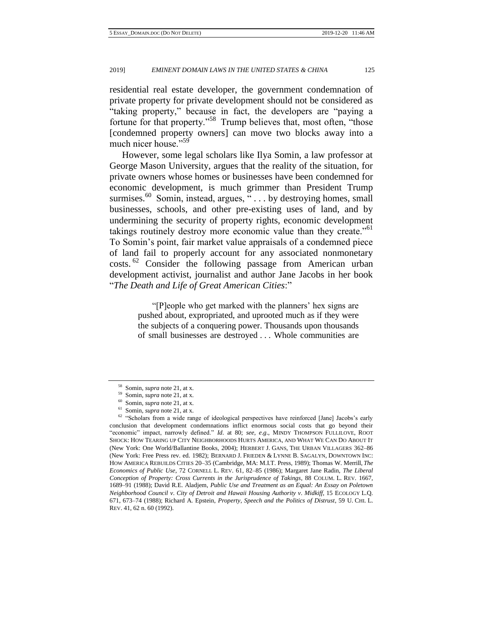residential real estate developer, the government condemnation of private property for private development should not be considered as "taking property," because in fact, the developers are "paying a fortune for that property."<sup>58</sup> Trump believes that, most often, "those [condemned property owners] can move two blocks away into a much nicer house."<sup>59</sup>

However, some legal scholars like Ilya Somin, a law professor at George Mason University, argues that the reality of the situation, for private owners whose homes or businesses have been condemned for economic development, is much grimmer than President Trump surmises.<sup>60</sup> Somin, instead, argues, " $\dots$  by destroying homes, small businesses, schools, and other pre-existing uses of land, and by undermining the security of property rights, economic development takings routinely destroy more economic value than they create."<sup>61</sup> To Somin's point, fair market value appraisals of a condemned piece of land fail to properly account for any associated nonmonetary costs.<sup>62</sup> Consider the following passage from American urban development activist, journalist and author Jane Jacobs in her book "*The Death and Life of Great American Cities*:"

> "[P]eople who get marked with the planners' hex signs are pushed about, expropriated, and uprooted much as if they were the subjects of a conquering power. Thousands upon thousands of small businesses are destroyed . . . Whole communities are

<sup>58</sup> Somin, *supra* note 21, at x.

<sup>59</sup> Somin, *supra* note 21, at x.

<sup>60</sup> Somin, *supra* note 21, at x.

<sup>61</sup> Somin, *supra* note 21, at x.

<sup>&</sup>lt;sup>62</sup> "Scholars from a wide range of ideological perspectives have reinforced [Jane] Jacobs's early conclusion that development condemnations inflict enormous social costs that go beyond their "economic" impact, narrowly defined." *Id*. at 80; *see, e*.*g*., MINDY THOMPSON FULLILOVE, ROOT SHOCK: HOW TEARING UP CITY NEIGHBORHOODS HURTS AMERICA, AND WHAT WE CAN DO ABOUT IT (New York: One World/Ballantine Books, 2004); HERBERT J. GANS, THE URBAN VILLAGERS 362–86 (New York: Free Press rev. ed. 1982); BERNARD J. FRIEDEN & LYNNE B. SAGALYN, DOWNTOWN INC: HOW AMERICA REBUILDS CITIES 20–35 (Cambridge, MA: M.I.T. Press, 1989); Thomas W. Merrill, *The Economics of Public Use*, 72 CORNELL L. REV. 61, 82–85 (1986); Margaret Jane Radin, *The Liberal Conception of Property: Cross Currents in the Jurisprudence of Takings*, 88 COLUM. L. REV. 1667, 1689–91 (1988); David R.E. Aladjem, *Public Use and Treatment as an Equal: An Essay on Poletown Neighborhood Council v*. *City of Detroit and Hawaii Housing Authority v*. *Midkiff*, 15 ECOLOGY L.Q. 671, 673–74 (1988); Richard A. Epstein, *Property, Speech and the Politics of Distrust*, 59 U. CHI. L. REV. 41, 62 n. 60 (1992).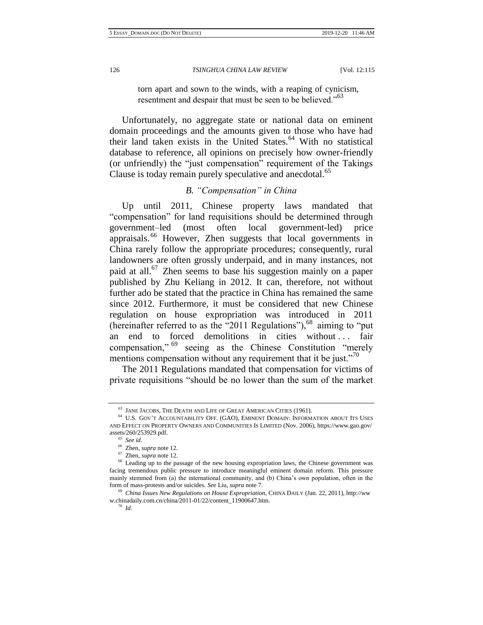torn apart and sown to the winds, with a reaping of cynicism, resentment and despair that must be seen to be believed."<sup>63</sup>

Unfortunately, no aggregate state or national data on eminent domain proceedings and the amounts given to those who have had their land taken exists in the United States.<sup>64</sup> With no statistical database to reference, all opinions on precisely how owner-friendly (or unfriendly) the "just compensation" requirement of the Takings Clause is today remain purely speculative and anecdotal.<sup>65</sup>

# *B. "Compensation" in China*

Up until 2011, Chinese property laws mandated that "compensation" for land requisitions should be determined through government–led (most often local government-led) price appraisals. <sup>66</sup> However, Zhen suggests that local governments in China rarely follow the appropriate procedures; consequently, rural landowners are often grossly underpaid, and in many instances, not paid at all.<sup>67</sup> Zhen seems to base his suggestion mainly on a paper published by Zhu Keliang in 2012. It can, therefore, not without further ado be stated that the practice in China has remained the same since 2012. Furthermore, it must be considered that new Chinese regulation on house expropriation was introduced in 2011 (hereinafter referred to as the "2011 Regulations"),<sup>68</sup> aiming to "put an end to forced demolitions in cities without ... fair compensation,"<sup>69</sup> seeing as the Chinese Constitution "merely mentions compensation without any requirement that it be just."<sup>70</sup>

The 2011 Regulations mandated that compensation for victims of private requisitions "should be no lower than the sum of the market

<sup>70</sup> *Id*.

 $^{63}$  JANE JACOBS, THE DEATH AND LIFE OF GREAT AMERICAN CITIES (1961).

 $^{64}$  U.S. GOV'T ACCOUNTABILITY OFF. (GAO), EMINENT DOMAIN: INFORMATION ABOUT ITS USES AND EFFECT ON PROPERTY OWNERS AND COMMUNITIES IS LIMITED (Nov. 2006), https://www.gao.gov/ assets/260/253929.pdf.

<sup>65</sup> *See id*.

<sup>66</sup> Zhen, *supra* note 12.

<sup>67</sup> Zhen, *supra* note 12.

<sup>&</sup>lt;sup>68</sup> Leading up to the passage of the new housing expropriation laws, the Chinese government was facing tremendous public pressure to introduce meaningful eminent domain reform. This pressure mainly stemmed from (a) the international community, and (b) China's own population, often in the form of mass-protests and/or suicides. *See* Liu, *supra* note 7.

<sup>69</sup> *China Issues New Regulations on House Expropriation,* CHINA DAILY (Jan. 22, 2011), [http://ww](http://www.chinadaily.com.cn/china/2011-01/22/content_11900647.htm) [w.chinadaily.com.cn/china/2011-01/22/content\\_11900647.htm.](http://www.chinadaily.com.cn/china/2011-01/22/content_11900647.htm)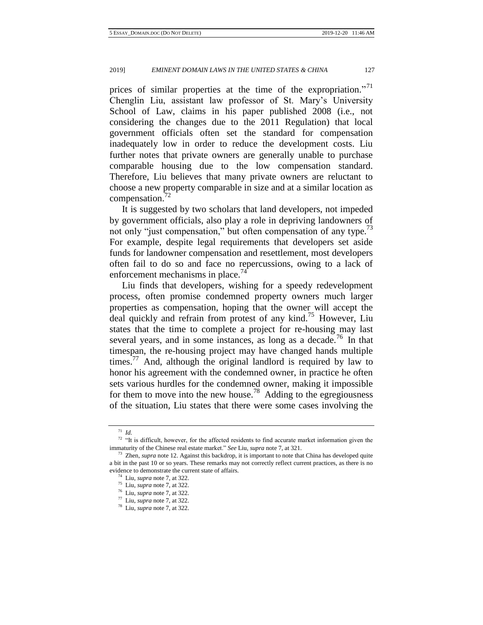prices of similar properties at the time of the expropriation."<sup>71</sup> Chenglin Liu, assistant law professor of St. Mary's University School of Law, claims in his paper published 2008 (i.e., not considering the changes due to the 2011 Regulation) that local government officials often set the standard for compensation inadequately low in order to reduce the development costs. Liu further notes that private owners are generally unable to purchase comparable housing due to the low compensation standard. Therefore, Liu believes that many private owners are reluctant to choose a new property comparable in size and at a similar location as compensation.<sup>72</sup>

It is suggested by two scholars that land developers, not impeded by government officials, also play a role in depriving landowners of not only "just compensation," but often compensation of any type.<sup>73</sup> For example, despite legal requirements that developers set aside funds for landowner compensation and resettlement, most developers often fail to do so and face no repercussions, owing to a lack of enforcement mechanisms in place. $^{74}$ 

Liu finds that developers, wishing for a speedy redevelopment process, often promise condemned property owners much larger properties as compensation, hoping that the owner will accept the deal quickly and refrain from protest of any kind.<sup>75</sup> However, Liu states that the time to complete a project for re-housing may last several years, and in some instances, as long as a decade.<sup>76</sup> In that timespan, the re-housing project may have changed hands multiple times.<sup>77</sup> And, although the original landlord is required by law to honor his agreement with the condemned owner, in practice he often sets various hurdles for the condemned owner, making it impossible for them to move into the new house.<sup>78</sup> Adding to the egregiousness of the situation, Liu states that there were some cases involving the

<sup>71</sup> *Id.*

 $72$  "It is difficult, however, for the affected residents to find accurate market information given the immaturity of the Chinese real estate market." *See* Liu, *supra* note 7, at 321.

Zhen, *supra* note 12. Against this backdrop, it is important to note that China has developed quite a bit in the past 10 or so years. These remarks may not correctly reflect current practices, as there is no evidence to demonstrate the current state of affairs.

<sup>74</sup> Liu, *supra* note 7, at 322.

<sup>75</sup> Liu, *supra* note 7, at 322.

<sup>76</sup> Liu, *supra* note 7, at 322.

<sup>77</sup> Liu, *supra* note 7, at 322.

<sup>78</sup> Liu, *supra* note 7, at 322.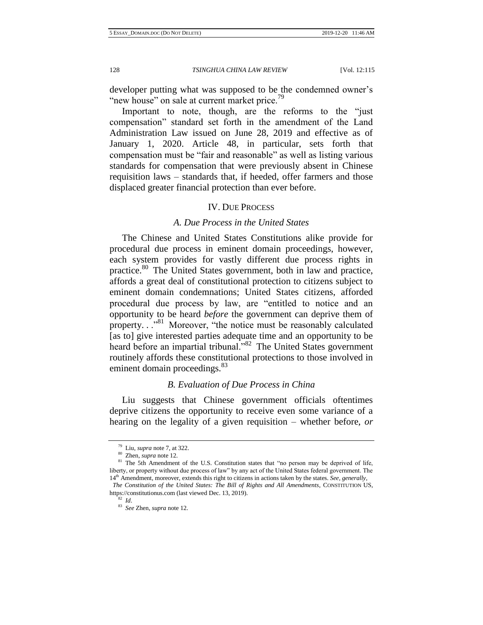developer putting what was supposed to be the condemned owner's "new house" on sale at current market price.<sup>19</sup>

Important to note, though, are the reforms to the "just compensation" standard set forth in the amendment of the Land Administration Law issued on June 28, 2019 and effective as of January 1, 2020. Article 48, in particular, sets forth that compensation must be "fair and reasonable" as well as listing various standards for compensation that were previously absent in Chinese requisition laws – standards that, if heeded, offer farmers and those displaced greater financial protection than ever before.

#### IV. DUE PROCESS

## *A. Due Process in the United States*

The Chinese and United States Constitutions alike provide for procedural due process in eminent domain proceedings, however, each system provides for vastly different due process rights in practice.<sup>80</sup> The United States government, both in law and practice, affords a great deal of constitutional protection to citizens subject to eminent domain condemnations; United States citizens, afforded procedural due process by law, are "entitled to notice and an opportunity to be heard *before* the government can deprive them of property. . .<sup>81</sup> Moreover, "the notice must be reasonably calculated [as to] give interested parties adequate time and an opportunity to be heard before an impartial tribunal."<sup>82</sup> The United States government routinely affords these constitutional protections to those involved in eminent domain proceedings.<sup>83</sup>

#### *B. Evaluation of Due Process in China*

Liu suggests that Chinese government officials oftentimes deprive citizens the opportunity to receive even some variance of a hearing on the legality of a given requisition – whether before, *or* 

<sup>79</sup> Liu, *supra* note 7, at 322.

<sup>80</sup> Zhen, *supra* note 12.

<sup>&</sup>lt;sup>81</sup> The 5th Amendment of the U.S. Constitution states that "no person may be deprived of life, liberty, or property without due process of law" by any act of the United States federal government. The 14th Amendment, moreover, extends this right to citizens in actions taken by the states. *See, generally*, *The Constitution of the United States: The Bill of Rights and All Amendments*, CONSTITUTION US, https://constitutionus.com (last viewed Dec. 13, 2019).

<sup>82</sup> *Id*.

<sup>83</sup> *See* Zhen, *supra* note 12.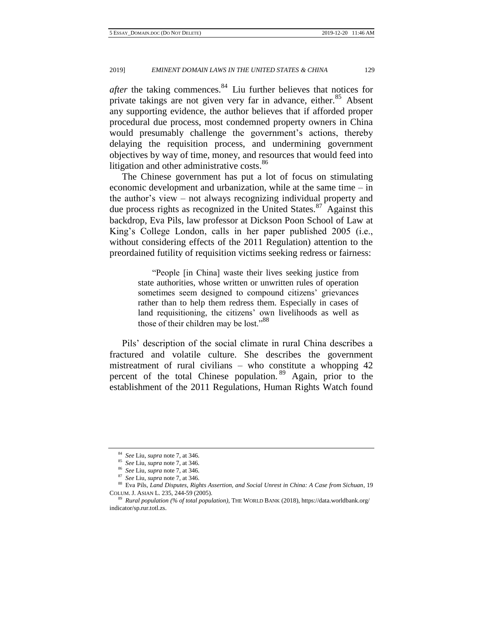*after* the taking commences.<sup>84</sup> Liu further believes that notices for private takings are not given very far in advance, either.<sup>85</sup> Absent any supporting evidence, the author believes that if afforded proper procedural due process, most condemned property owners in China would presumably challenge the government's actions, thereby delaying the requisition process, and undermining government objectives by way of time, money, and resources that would feed into litigation and other administrative costs.<sup>86</sup>

The Chinese government has put a lot of focus on stimulating economic development and urbanization, while at the same time – in the author's view – not always recognizing individual property and due process rights as recognized in the United States. $87$  Against this backdrop, Eva Pils, law professor at Dickson Poon School of Law at King's College London, calls in her paper published 2005 (i.e., without considering effects of the 2011 Regulation) attention to the preordained futility of requisition victims seeking redress or fairness:

> "People [in China] waste their lives seeking justice from state authorities, whose written or unwritten rules of operation sometimes seem designed to compound citizens' grievances rather than to help them redress them. Especially in cases of land requisitioning, the citizens' own livelihoods as well as those of their children may be lost."<sup>88</sup>

Pils' description of the social climate in rural China describes a fractured and volatile culture. She describes the government mistreatment of rural civilians – who constitute a whopping 42 percent of the total Chinese population.<sup>89</sup> Again, prior to the establishment of the 2011 Regulations, Human Rights Watch found

<sup>84</sup> *See* Liu, *supra* note 7, at 346.

<sup>85</sup> *See* Liu, *supra* note 7, at 346.

<sup>86</sup> *See* Liu, *supra* note 7, at 346.

<sup>87</sup> *See* Liu, *supra* note 7, at 346.

<sup>88</sup> Eva Pils, *Land Disputes, Rights Assertion, and Social Unrest in China: A Case from Sichuan*, 19 COLUM. J. ASIAN L. 235, 244-59 (2005).

<sup>89</sup> *Rural population (% of total population),* THE WORLD BANK (2018), https://data.worldbank.org/ indicator/sp.rur.totl.zs.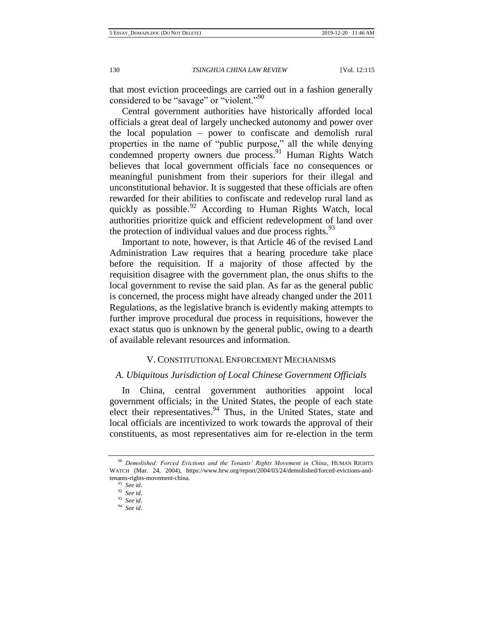that most eviction proceedings are carried out in a fashion generally considered to be "savage" or "violent."<sup>90</sup>

Central government authorities have historically afforded local officials a great deal of largely unchecked autonomy and power over the local population – power to confiscate and demolish rural properties in the name of "public purpose," all the while denying condemned property owners due process.<sup>91</sup> Human Rights Watch believes that local government officials face no consequences or meaningful punishment from their superiors for their illegal and unconstitutional behavior. It is suggested that these officials are often rewarded for their abilities to confiscate and redevelop rural land as quickly as possible.<sup>92</sup> According to Human Rights Watch, local authorities prioritize quick and efficient redevelopment of land over the protection of individual values and due process rights. $93$ 

Important to note, however, is that Article 46 of the revised Land Administration Law requires that a hearing procedure take place before the requisition. If a majority of those affected by the requisition disagree with the government plan, the onus shifts to the local government to revise the said plan. As far as the general public is concerned, the process might have already changed under the 2011 Regulations, as the legislative branch is evidently making attempts to further improve procedural due process in requisitions, however the exact status quo is unknown by the general public, owing to a dearth of available relevant resources and information.

## V. CONSTITUTIONAL ENFORCEMENT MECHANISMS

## *A. Ubiquitous Jurisdiction of Local Chinese Government Officials*

In China, central government authorities appoint local government officials; in the United States, the people of each state elect their representatives.<sup>94</sup> Thus, in the United States, state and local officials are incentivized to work towards the approval of their constituents, as most representatives aim for re-election in the term

<sup>90</sup> *Demolished: Forced Evictions and the Tenants' Rights Movement in China*, HUMAN RIGHTS WATCH (Mar. 24, 2004), https://www.hrw.org/report/2004/03/24/demolished/forced-evictions-andtenants-rights-movement-china.

<sup>91</sup> *See id*.

<sup>92</sup> *See id*.

<sup>93</sup> *See id*.

<sup>94</sup> *See id*.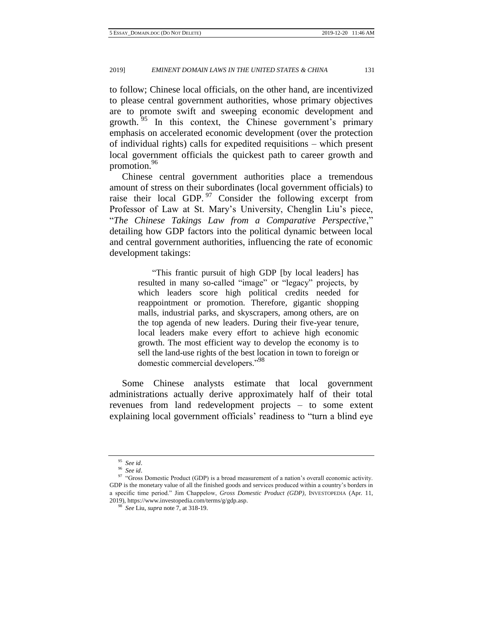to follow; Chinese local officials, on the other hand, are incentivized to please central government authorities, whose primary objectives are to promote swift and sweeping economic development and growth. <sup>95</sup> In this context, the Chinese government's primary emphasis on accelerated economic development (over the protection of individual rights) calls for expedited requisitions – which present local government officials the quickest path to career growth and promotion.<sup>96</sup>

Chinese central government authorities place a tremendous amount of stress on their subordinates (local government officials) to raise their local GDP.  $97$  Consider the following excerpt from Professor of Law at St. Mary's University, Chenglin Liu's piece, "*The Chinese Takings Law from a Comparative Perspective*," detailing how GDP factors into the political dynamic between local and central government authorities, influencing the rate of economic development takings:

> "This frantic pursuit of high GDP [by local leaders] has resulted in many so-called "image" or "legacy" projects, by which leaders score high political credits needed for reappointment or promotion. Therefore, gigantic shopping malls, industrial parks, and skyscrapers, among others, are on the top agenda of new leaders. During their five-year tenure, local leaders make every effort to achieve high economic growth. The most efficient way to develop the economy is to sell the land-use rights of the best location in town to foreign or domestic commercial developers."<sup>98</sup>

Some Chinese analysts estimate that local government administrations actually derive approximately half of their total revenues from land redevelopment projects – to some extent explaining local government officials' readiness to "turn a blind eye

<sup>95</sup> *See id*.

<sup>96</sup> *See id*.

<sup>97 &</sup>quot;Gross Domestic Product (GDP) is a broad measurement of a nation's overall economic activity. GDP is the monetary value of all the finished goods and services produced within a country's borders in a specific time period." Jim Chappelow, *Gross Domestic Product (GDP)*, INVESTOPEDIA (Apr. 11, 2019), https://www.investopedia.com/terms/g/gdp.asp.

<sup>98</sup> *See* Liu, *supra* note 7, at 318-19.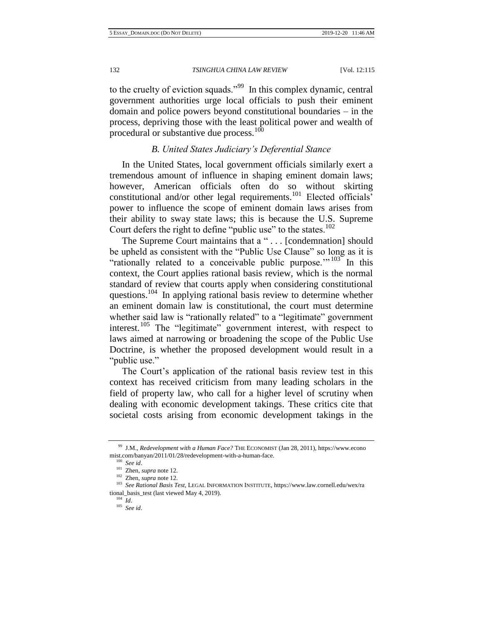to the cruelty of eviction squads."<sup>99</sup> In this complex dynamic, central government authorities urge local officials to push their eminent domain and police powers beyond constitutional boundaries – in the process, depriving those with the least political power and wealth of procedural or substantive due process.<sup>100</sup>

# *B. United States Judiciary's Deferential Stance*

In the United States, local government officials similarly exert a tremendous amount of influence in shaping eminent domain laws; however, American officials often do so without skirting constitutional and/or other legal requirements.<sup>101</sup> Elected officials' power to influence the scope of eminent domain laws arises from their ability to sway state laws; this is because the U.S. Supreme Court defers the right to define "public use" to the states.<sup>102</sup>

The Supreme Court maintains that a " . . . [condemnation] should be upheld as consistent with the "Public Use Clause" so long as it is "rationally related to a conceivable public purpose." $103$  In this context, the Court applies rational basis review, which is the normal standard of review that courts apply when considering constitutional questions.<sup>104</sup> In applying rational basis review to determine whether an eminent domain law is constitutional, the court must determine whether said law is "rationally related" to a "legitimate" government interest.<sup>105</sup> The "legitimate" government interest, with respect to laws aimed at narrowing or broadening the scope of the Public Use Doctrine, is whether the proposed development would result in a "public use."

The Court's application of the rational basis review test in this context has received criticism from many leading scholars in the field of property law, who call for a higher level of scrutiny when dealing with economic development takings. These critics cite that societal costs arising from economic development takings in the

<sup>99</sup> J.M., *Redevelopment with a Human Face?* THE ECONOMIST (Jan 28, 2011), https://www.econo mist.com/banyan/2011/01/28/redevelopment-with-a-human-face.

<sup>100</sup> *See id*.

<sup>101</sup> Zhen, *supra* note 12.

<sup>102</sup> Zhen, *supra* note 12.

<sup>103</sup> *See Rational Basis Test*, LEGAL INFORMATION INSTITUTE, https://www.law.cornell.edu/wex/ra tional\_basis\_test (last viewed May 4, 2019).

<sup>104</sup> *Id*.

<sup>105</sup> *See id*.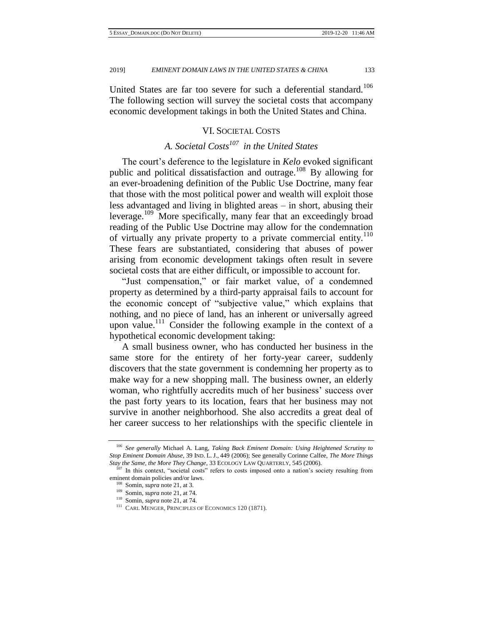United States are far too severe for such a deferential standard.<sup>106</sup> The following section will survey the societal costs that accompany economic development takings in both the United States and China.

# VI. SOCIETAL COSTS

# *A. Societal Costs<sup>107</sup> in the United States*

The court's deference to the legislature in *Kelo* evoked significant public and political dissatisfaction and outrage.<sup>108</sup> By allowing for an ever-broadening definition of the Public Use Doctrine, many fear that those with the most political power and wealth will exploit those less advantaged and living in blighted areas – in short, abusing their leverage.<sup>109</sup> More specifically, many fear that an exceedingly broad reading of the Public Use Doctrine may allow for the condemnation of virtually any private property to a private commercial entity.<sup>110</sup> These fears are substantiated, considering that abuses of power arising from economic development takings often result in severe societal costs that are either difficult, or impossible to account for.

"Just compensation," or fair market value, of a condemned property as determined by a third-party appraisal fails to account for the economic concept of "subjective value," which explains that nothing, and no piece of land, has an inherent or universally agreed upon value.<sup>111</sup> Consider the following example in the context of a hypothetical economic development taking:

A small business owner, who has conducted her business in the same store for the entirety of her forty-year career, suddenly discovers that the state government is condemning her property as to make way for a new shopping mall. The business owner, an elderly woman, who rightfully accredits much of her business' success over the past forty years to its location, fears that her business may not survive in another neighborhood. She also accredits a great deal of her career success to her relationships with the specific clientele in

<sup>106</sup> *See generally* Michael A. Lang, *Taking Back Eminent Domain: Using Heightened Scrutiny to Stop Eminent Domain Abuse*, 39 IND. L. J., 449 (2006); See generally Corinne Calfee, *The More Things Stay the Same, the More They Change*, 33 ECOLOGY LAW QUARTERLY, 545 (2006).

<sup>&</sup>lt;sup>107</sup> In this context, "societal costs" refers to costs imposed onto a nation's society resulting from eminent domain policies and/or laws.

<sup>108</sup> Somin, *supra* note 21, at 3.

<sup>109</sup> Somin, *supra* note 21, at 74.

<sup>110</sup> Somin, *supra* note 21, at 74.

<sup>111</sup> CARL MENGER, PRINCIPLE*S* OF ECONOMICS 120 (1871).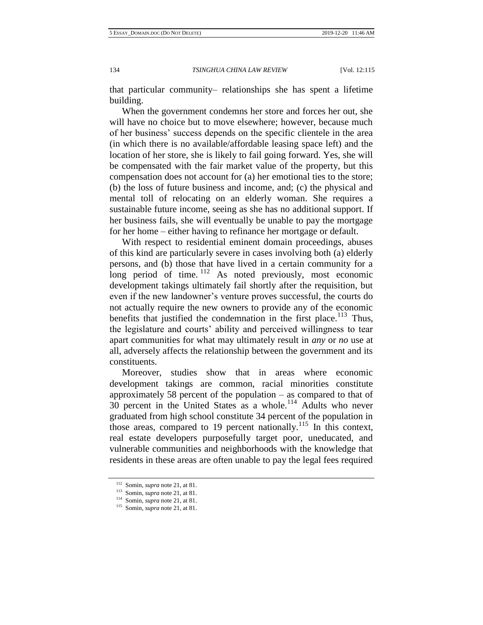that particular community– relationships she has spent a lifetime building.

When the government condemns her store and forces her out, she will have no choice but to move elsewhere; however, because much of her business' success depends on the specific clientele in the area (in which there is no available/affordable leasing space left) and the location of her store, she is likely to fail going forward. Yes, she will be compensated with the fair market value of the property, but this compensation does not account for (a) her emotional ties to the store; (b) the loss of future business and income, and; (c) the physical and mental toll of relocating on an elderly woman. She requires a sustainable future income, seeing as she has no additional support. If her business fails, she will eventually be unable to pay the mortgage for her home – either having to refinance her mortgage or default.

With respect to residential eminent domain proceedings, abuses of this kind are particularly severe in cases involving both (a) elderly persons, and (b) those that have lived in a certain community for a long period of time.<sup>112</sup> As noted previously, most economic development takings ultimately fail shortly after the requisition, but even if the new landowner's venture proves successful, the courts do not actually require the new owners to provide any of the economic benefits that justified the condemnation in the first place.<sup>113</sup> Thus, the legislature and courts' ability and perceived willingness to tear apart communities for what may ultimately result in *any* or *no* use at all, adversely affects the relationship between the government and its constituents.

Moreover, studies show that in areas where economic development takings are common, racial minorities constitute approximately 58 percent of the population – as compared to that of  $30$  percent in the United States as a whole.<sup>114</sup> Adults who never graduated from high school constitute 34 percent of the population in those areas, compared to 19 percent nationally.<sup>115</sup> In this context, real estate developers purposefully target poor, uneducated, and vulnerable communities and neighborhoods with the knowledge that residents in these areas are often unable to pay the legal fees required

<sup>112</sup> Somin, *supra* note 21, at 81.

<sup>113</sup> Somin, *supra* note 21, at 81.

<sup>114</sup> Somin, *supra* note 21, at 81.

<sup>115</sup> Somin, *supra* note 21, at 81.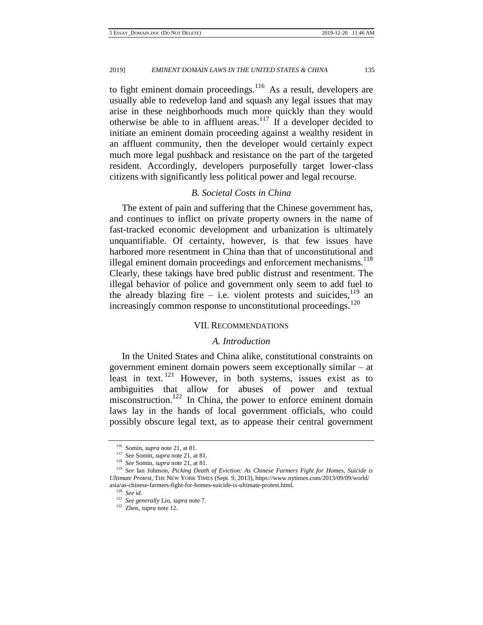to fight eminent domain proceedings. $116$  As a result, developers are usually able to redevelop land and squash any legal issues that may arise in these neighborhoods much more quickly than they would otherwise be able to in affluent areas.<sup>117</sup> If a developer decided to initiate an eminent domain proceeding against a wealthy resident in an affluent community, then the developer would certainly expect much more legal pushback and resistance on the part of the targeted resident. Accordingly, developers purposefully target lower-class citizens with significantly less political power and legal recourse.

# *B. Societal Costs in China*

The extent of pain and suffering that the Chinese government has, and continues to inflict on private property owners in the name of fast-tracked economic development and urbanization is ultimately unquantifiable. Of certainty, however, is that few issues have harbored more resentment in China than that of unconstitutional and illegal eminent domain proceedings and enforcement mechanisms.<sup>118</sup> Clearly, these takings have bred public distrust and resentment. The illegal behavior of police and government only seem to add fuel to the already blazing fire – i.e. violent protests and suicides,  $119$  an increasingly common response to unconstitutional proceedings.<sup>120</sup>

## VII. RECOMMENDATIONS

## *A. Introduction*

In the United States and China alike, constitutional constraints on government eminent domain powers seem exceptionally similar – at least in text.<sup>121</sup> However, in both systems, issues exist as to ambiguities that allow for abuses of power and textual misconstruction.<sup>122</sup> In China, the power to enforce eminent domain laws lay in the hands of local government officials, who could possibly obscure legal text, as to appease their central government

<sup>116</sup> Somin, *supra* note 21, at 81.

<sup>117</sup> *See* Somin, *supra* note 21, at 81.

<sup>118</sup> *See* Somin, *supra* note 21, at 81.

<sup>119</sup> *See* Ian Johnson, *Picking Death of Eviction: As Chinese Farmers Fight for Homes, Suicide is Ultimate Protest*, THE NEW YORK TIMES (Sept. 9, 2013), https://www.nytimes.com/2013/09/09/world/ asia/as-chinese-farmers-fight-for-homes-suicide-is-ultimate-protest.html.

<sup>120</sup> *See id*.

<sup>121</sup> *See generally* Liu, *supra* note 7.

<sup>122</sup> Zhen, *supra* note 12.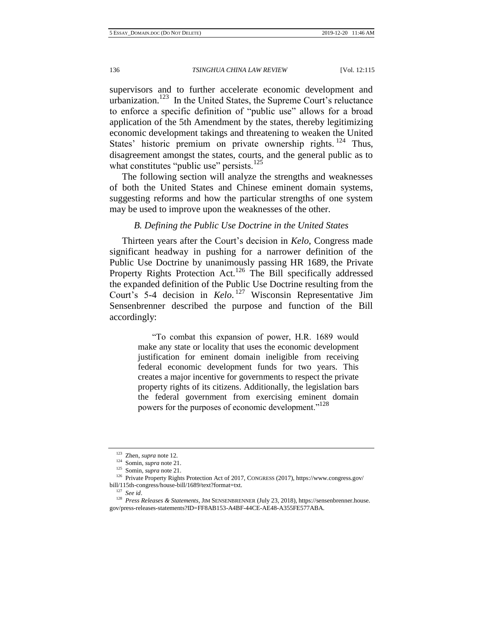supervisors and to further accelerate economic development and urbanization.<sup>123</sup> In the United States, the Supreme Court's reluctance to enforce a specific definition of "public use" allows for a broad application of the 5th Amendment by the states, thereby legitimizing economic development takings and threatening to weaken the United States' historic premium on private ownership rights.<sup>124</sup> Thus, disagreement amongst the states, courts, and the general public as to what constitutes "public use" persists. $125$ 

The following section will analyze the strengths and weaknesses of both the United States and Chinese eminent domain systems, suggesting reforms and how the particular strengths of one system may be used to improve upon the weaknesses of the other.

# *B. Defining the Public Use Doctrine in the United States*

Thirteen years after the Court's decision in *Kelo*, Congress made significant headway in pushing for a narrower definition of the Public Use Doctrine by unanimously passing HR 1689, the Private Property Rights Protection Act.<sup>126</sup> The Bill specifically addressed the expanded definition of the Public Use Doctrine resulting from the Court's 5-4 decision in *Kelo*. <sup>127</sup> Wisconsin Representative Jim Sensenbrenner described the purpose and function of the Bill accordingly:

> "To combat this expansion of power, H.R. 1689 would make any state or locality that uses the economic development justification for eminent domain ineligible from receiving federal economic development funds for two years. This creates a major incentive for governments to respect the private property rights of its citizens. Additionally, the legislation bars the federal government from exercising eminent domain powers for the purposes of economic development."<sup>128</sup>

<sup>123</sup> Zhen, *supra* note 12.

<sup>124</sup> Somin, *supra* note 21.

<sup>125</sup> Somin, *supra* note 21.

<sup>126</sup> Private Property Rights Protection Act of 2017, CONGRESS (2017), https://www.congress.gov/ bill/115th-congress/house-bill/1689/text?format=txt.

<sup>127</sup> *See id*.

<sup>128</sup> *Press Releases & Statements*, JIM SENSENBRENNER (July 23, 2018), https://sensenbrenner.house. gov/press-releases-statements?ID=FF8AB153-A4BF-44CE-AE48-A355FE577ABA.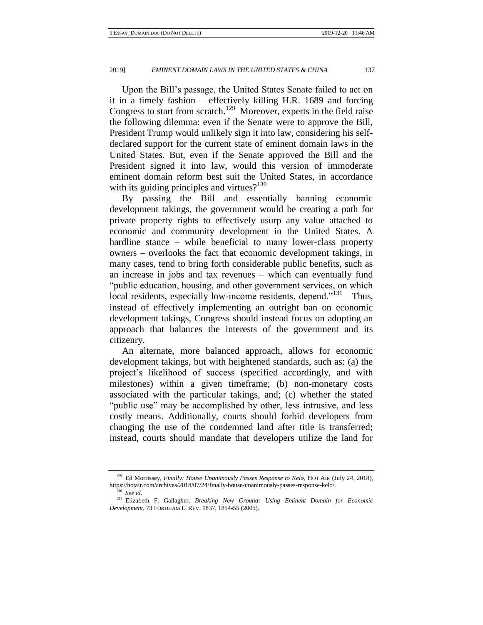Upon the Bill's passage, the United States Senate failed to act on it in a timely fashion – effectively killing H.R. 1689 and forcing Congress to start from scratch.<sup>129</sup> Moreover, experts in the field raise the following dilemma: even if the Senate were to approve the Bill, President Trump would unlikely sign it into law, considering his selfdeclared support for the current state of eminent domain laws in the United States. But, even if the Senate approved the Bill and the President signed it into law, would this version of immoderate eminent domain reform best suit the United States, in accordance with its guiding principles and virtues? $130$ 

By passing the Bill and essentially banning economic development takings, the government would be creating a path for private property rights to effectively usurp any value attached to economic and community development in the United States. A hardline stance – while beneficial to many lower-class property owners – overlooks the fact that economic development takings, in many cases, tend to bring forth considerable public benefits, such as an increase in jobs and tax revenues – which can eventually fund "public education, housing, and other government services, on which local residents, especially low-income residents, depend."<sup>131</sup> Thus, instead of effectively implementing an outright ban on economic development takings, Congress should instead focus on adopting an approach that balances the interests of the government and its citizenry.

An alternate, more balanced approach, allows for economic development takings, but with heightened standards, such as: (a) the project's likelihood of success (specified accordingly, and with milestones) within a given timeframe; (b) non-monetary costs associated with the particular takings, and; (c) whether the stated "public use" may be accomplished by other, less intrusive, and less costly means. Additionally, courts should forbid developers from changing the use of the condemned land after title is transferred; instead, courts should mandate that developers utilize the land for

<sup>&</sup>lt;sup>129</sup> Ed Morrissey, *Finally: House Unanimously Passes Response to Kelo*, HOT AIR (July 24, 2018), https://hotair.com/archives/2018/07/24/finally-house-unanimously-passes-response-kelo/.

<sup>130</sup> *See id*.

<sup>131</sup> Elizabeth F. Gallagher, *Breaking New Ground: Using Eminent Domain for Economic Development*, 73 FORDHAM L. REV. 1837, 1854-55 (2005).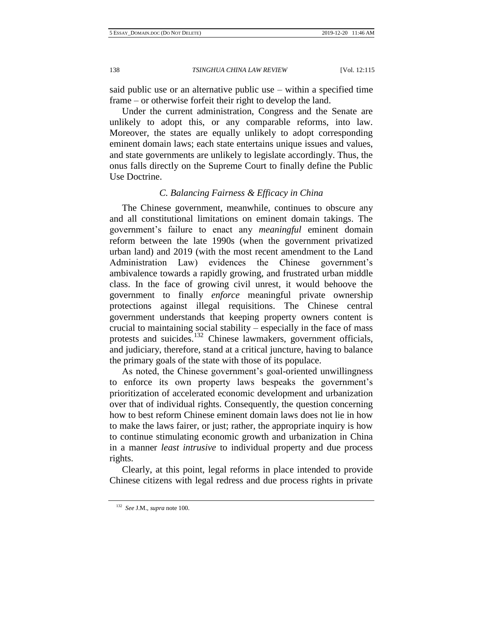said public use or an alternative public use – within a specified time frame – or otherwise forfeit their right to develop the land.

Under the current administration, Congress and the Senate are unlikely to adopt this, or any comparable reforms, into law. Moreover, the states are equally unlikely to adopt corresponding eminent domain laws; each state entertains unique issues and values, and state governments are unlikely to legislate accordingly. Thus, the onus falls directly on the Supreme Court to finally define the Public Use Doctrine.

## *C. Balancing Fairness & Efficacy in China*

The Chinese government, meanwhile, continues to obscure any and all constitutional limitations on eminent domain takings. The government's failure to enact any *meaningful* eminent domain reform between the late 1990s (when the government privatized urban land) and 2019 (with the most recent amendment to the Land Administration Law) evidences the Chinese government's ambivalence towards a rapidly growing, and frustrated urban middle class. In the face of growing civil unrest, it would behoove the government to finally *enforce* meaningful private ownership protections against illegal requisitions. The Chinese central government understands that keeping property owners content is crucial to maintaining social stability – especially in the face of mass protests and suicides.<sup>132</sup> Chinese lawmakers, government officials, and judiciary, therefore, stand at a critical juncture, having to balance the primary goals of the state with those of its populace.

As noted, the Chinese government's goal-oriented unwillingness to enforce its own property laws bespeaks the government's prioritization of accelerated economic development and urbanization over that of individual rights. Consequently, the question concerning how to best reform Chinese eminent domain laws does not lie in how to make the laws fairer, or just; rather, the appropriate inquiry is how to continue stimulating economic growth and urbanization in China in a manner *least intrusive* to individual property and due process rights.

Clearly, at this point, legal reforms in place intended to provide Chinese citizens with legal redress and due process rights in private

<sup>132</sup> *See* J.M., *supra* note 100.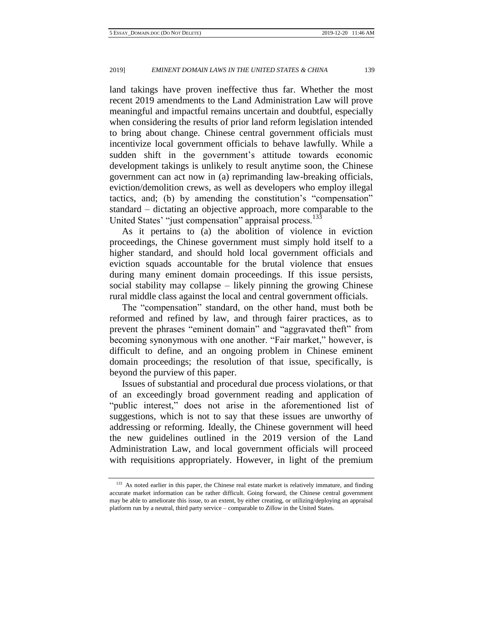land takings have proven ineffective thus far. Whether the most recent 2019 amendments to the Land Administration Law will prove meaningful and impactful remains uncertain and doubtful, especially when considering the results of prior land reform legislation intended to bring about change. Chinese central government officials must incentivize local government officials to behave lawfully. While a sudden shift in the government's attitude towards economic development takings is unlikely to result anytime soon, the Chinese government can act now in (a) reprimanding law-breaking officials, eviction/demolition crews, as well as developers who employ illegal tactics, and; (b) by amending the constitution's "compensation" standard – dictating an objective approach, more comparable to the United States' "just compensation" appraisal process.<sup>133</sup>

As it pertains to (a) the abolition of violence in eviction proceedings, the Chinese government must simply hold itself to a higher standard, and should hold local government officials and eviction squads accountable for the brutal violence that ensues during many eminent domain proceedings. If this issue persists, social stability may collapse – likely pinning the growing Chinese rural middle class against the local and central government officials.

The "compensation" standard, on the other hand, must both be reformed and refined by law, and through fairer practices, as to prevent the phrases "eminent domain" and "aggravated theft" from becoming synonymous with one another. "Fair market," however, is difficult to define, and an ongoing problem in Chinese eminent domain proceedings; the resolution of that issue, specifically, is beyond the purview of this paper.

Issues of substantial and procedural due process violations, or that of an exceedingly broad government reading and application of "public interest," does not arise in the aforementioned list of suggestions, which is not to say that these issues are unworthy of addressing or reforming. Ideally, the Chinese government will heed the new guidelines outlined in the 2019 version of the Land Administration Law, and local government officials will proceed with requisitions appropriately. However, in light of the premium

<sup>&</sup>lt;sup>133</sup> As noted earlier in this paper, the Chinese real estate market is relatively immature, and finding accurate market information can be rather difficult. Going forward, the Chinese central government may be able to ameliorate this issue, to an extent, by either creating, or utilizing/deploying an appraisal platform run by a neutral, third party service – comparable to *Zillow* in the United States.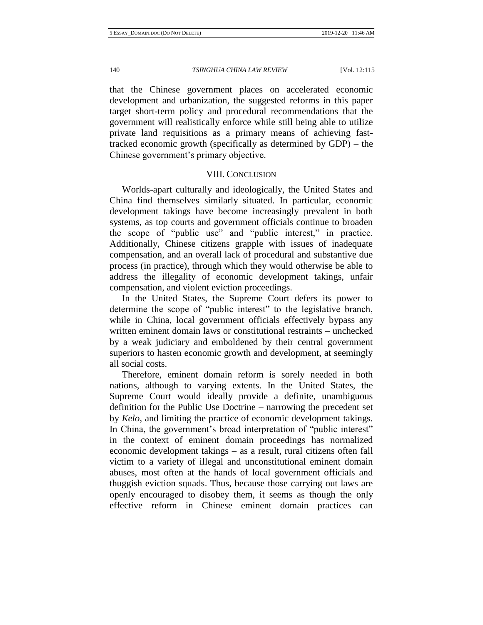that the Chinese government places on accelerated economic development and urbanization, the suggested reforms in this paper target short-term policy and procedural recommendations that the government will realistically enforce while still being able to utilize private land requisitions as a primary means of achieving fasttracked economic growth (specifically as determined by GDP) – the Chinese government's primary objective.

## VIII. CONCLUSION

Worlds-apart culturally and ideologically, the United States and China find themselves similarly situated. In particular, economic development takings have become increasingly prevalent in both systems, as top courts and government officials continue to broaden the scope of "public use" and "public interest," in practice. Additionally, Chinese citizens grapple with issues of inadequate compensation, and an overall lack of procedural and substantive due process (in practice), through which they would otherwise be able to address the illegality of economic development takings, unfair compensation, and violent eviction proceedings.

In the United States, the Supreme Court defers its power to determine the scope of "public interest" to the legislative branch, while in China, local government officials effectively bypass any written eminent domain laws or constitutional restraints – unchecked by a weak judiciary and emboldened by their central government superiors to hasten economic growth and development, at seemingly all social costs.

Therefore, eminent domain reform is sorely needed in both nations, although to varying extents. In the United States, the Supreme Court would ideally provide a definite, unambiguous definition for the Public Use Doctrine – narrowing the precedent set by *Kelo*, and limiting the practice of economic development takings. In China, the government's broad interpretation of "public interest" in the context of eminent domain proceedings has normalized economic development takings – as a result, rural citizens often fall victim to a variety of illegal and unconstitutional eminent domain abuses, most often at the hands of local government officials and thuggish eviction squads. Thus, because those carrying out laws are openly encouraged to disobey them, it seems as though the only effective reform in Chinese eminent domain practices can